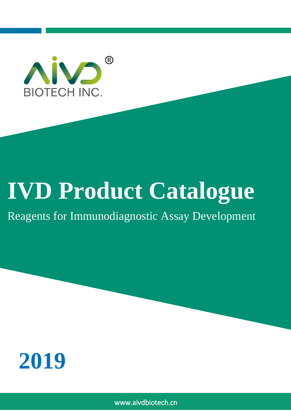

# **IVD Product Catalogue**

# Reagents for Immunodiagnostic Assay Development



www.aivdbiotech.cn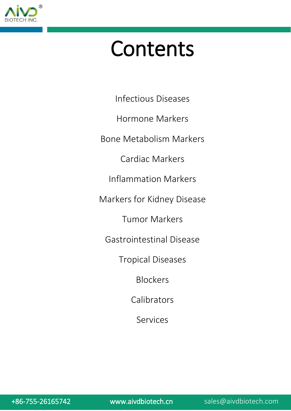

# Contents

Infectious Diseases

Hormone Markers

Bone Metabolism Markers

Cardiac Markers

Inflammation Markers

Markers for Kidney Disease

Tumor Markers

Gastrointestinal Disease

Tropical Diseases

Blockers

Calibrators

Services

+86-755-26165742 [www.aivdbiotech.cn](http://www.aivdbiotech.cn/) sales@aivdbiotech.com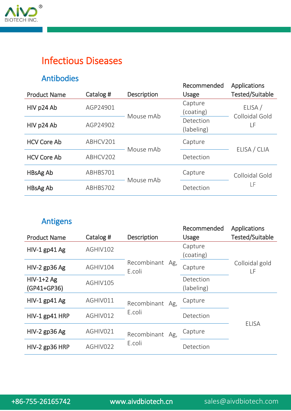

## Infectious Diseases

#### Antibodies

| , , , , , , , , , , , , , , , ,<br><b>Product Name</b> | Catalog # | Description | Recommended<br><b>Usage</b> | Applications<br>Tested/Suitable |
|--------------------------------------------------------|-----------|-------------|-----------------------------|---------------------------------|
| HIV p24 Ab                                             | AGP24901  | Mouse mAb   | Capture<br>(coating)        | ELISA /<br>Colloidal Gold<br>LF |
| HIV p24 Ab                                             | AGP24902  |             | Detection<br>(labeling)     |                                 |
| <b>HCV Core Ab</b>                                     | ABHCV201  | Mouse mAb   | Capture                     | ELISA / CLIA                    |
| <b>HCV Core Ab</b>                                     | ABHCV202  |             | Detection                   |                                 |
| HBsAg Ab                                               | ABHBS701  | Mouse mAb   | Capture                     | Colloidal Gold                  |
| <b>HBsAg Ab</b>                                        | ABHBS702  |             | Detection                   | LF                              |

#### Antigens

|                             |           |                           | Recommended             | Applications         |
|-----------------------------|-----------|---------------------------|-------------------------|----------------------|
| <b>Product Name</b>         | Catalog # | Description               | Usage                   | Tested/Suitable      |
| $HIV-1$ gp41 Ag             | AGHIV102  |                           | Capture<br>(coating)    |                      |
| $HIV-2$ gp36 Ag             | AGHIV104  | Recombinant Ag,<br>E.coli | Capture                 | Colloidal gold<br>LF |
| $HIV-1+2 Ag$<br>(GP41+GP36) | AGHIV105  |                           | Detection<br>(labeling) |                      |
| $HIV-1$ gp41 Ag             | AGHIV011  | Recombinant Ag,           | Capture                 |                      |
| $HIV-1$ gp41 HRP            | AGHIV012  | E.coli                    | Detection               |                      |
| $HIV-2$ gp36 Ag             | AGHIV021  | Recombinant Ag,           | Capture                 | <b>ELISA</b>         |
| HIV-2 gp36 HRP              | AGHIV022  | E.coli                    | Detection               |                      |
|                             |           |                           |                         |                      |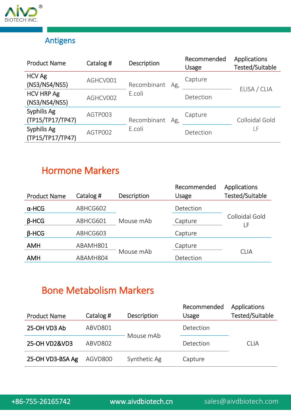

## Antigens

| <b>Product Name</b>                | Catalog # | <b>Description</b> | Recommended<br>Usage | <b>Applications</b><br>Tested/Suitable |
|------------------------------------|-----------|--------------------|----------------------|----------------------------------------|
| <b>HCV Ag</b><br>(NS3/NS4/NS5)     | AGHCV001  | Recombinant<br>Ag, | Capture              | ELISA / CLIA                           |
| <b>HCV HRP Ag</b><br>(NS3/NS4/NS5) | AGHCV002  | E.coli             | Detection            |                                        |
| Syphilis Ag<br>(TP15/TP17/TP47)    | AGTP003   | Recombinant<br>Ag, | Capture              | Colloidal Gold                         |
| Syphilis Ag<br>(TP15/TP17/TP47)    | AGTP002   | E.coli             | Detection            | LF                                     |

## Hormone Markers

| <b>Product Name</b> | Catalog # | <b>Description</b> | Recommended<br><b>Usage</b> | <b>Applications</b><br><b>Tested/Suitable</b> |
|---------------------|-----------|--------------------|-----------------------------|-----------------------------------------------|
| $\alpha$ -HCG       | ABHCG602  |                    | Detection                   |                                               |
| $\beta$ -HCG        | ABHCG601  | Mouse mAb          | Capture                     | Colloidal Gold<br>LF                          |
| $B-HCG$             | ABHCG603  |                    | Capture                     |                                               |
| <b>AMH</b>          | ABAMH801  |                    | Capture                     |                                               |
| <b>AMH</b>          | ABAMH804  | Mouse mAb          | Detection                   | <b>CLIA</b>                                   |

## Bone Metabolism Markers

| <b>Product Name</b> | Catalog # | <b>Description</b> | Recommended<br>Usage | <b>Applications</b><br>Tested/Suitable |
|---------------------|-----------|--------------------|----------------------|----------------------------------------|
| 25-OH VD3 Ab        | ABVD801   |                    | Detection            |                                        |
| 25-OH VD2&VD3       | ABVD802   | Mouse mAb          | Detection            | <b>CLIA</b>                            |
| 25-OH VD3-BSA Ag    | AGVD800   | Synthetic Ag       | Capture              |                                        |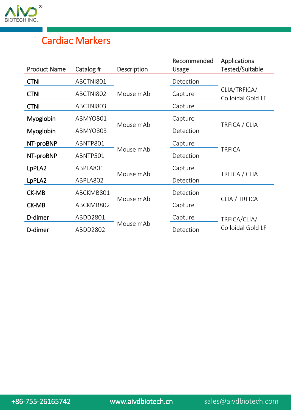

## Cardiac Markers

|           |           | Recommended                                                                  | <b>Applications</b>               |  |
|-----------|-----------|------------------------------------------------------------------------------|-----------------------------------|--|
|           |           |                                                                              | Tested/Suitable                   |  |
| ABCTNI801 |           | Detection                                                                    |                                   |  |
| ABCTNI802 | Mouse mAb | Capture                                                                      | CLIA/TRFICA/<br>Colloidal Gold LF |  |
| ABCTNI803 |           | Capture                                                                      |                                   |  |
| ABMYO801  |           | Capture                                                                      |                                   |  |
| ABMYO803  |           | Detection                                                                    | TRFICA / CLIA                     |  |
| ABNTP801  |           | Capture                                                                      |                                   |  |
| ABNTP501  |           | Detection                                                                    | TRFICA                            |  |
| ABPLA801  |           | Capture                                                                      |                                   |  |
| ABPLA802  |           | Detection                                                                    | TRFICA / CLIA                     |  |
| ABCKMB801 |           | Detection                                                                    |                                   |  |
| ABCKMB802 |           | Capture                                                                      | CLIA / TRFICA                     |  |
| ABDD2801  |           | Capture                                                                      | TRFICA/CLIA/                      |  |
| ABDD2802  |           | Detection                                                                    | Colloidal Gold LF                 |  |
|           | Catalog # | Description<br>Mouse mAb<br>Mouse mAb<br>Mouse mAb<br>Mouse mAb<br>Mouse mAb | Usage                             |  |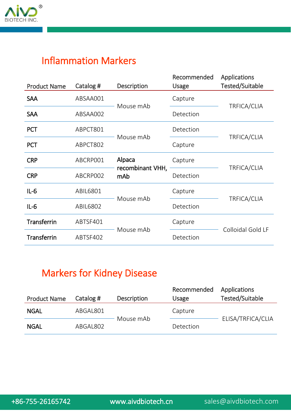

## Inflammation Markers

| <b>Product Name</b> | Catalog # | Description                | Recommended<br><b>Usage</b> | <b>Applications</b><br><b>Tested/Suitable</b> |  |
|---------------------|-----------|----------------------------|-----------------------------|-----------------------------------------------|--|
| <b>SAA</b>          | ABSAA001  |                            | Capture                     |                                               |  |
| <b>SAA</b>          | ABSAA002  | Mouse mAb                  | Detection                   | TRFICA/CLIA                                   |  |
| <b>PCT</b>          | ABPCT801  | Mouse mAb                  | Detection                   | TRFICA/CLIA                                   |  |
| <b>PCT</b>          | ABPCT802  |                            | Capture                     |                                               |  |
| <b>CRP</b>          | ABCRP001  | Alpaca<br>recombinant VHH, | Capture                     | TRFICA/CLIA                                   |  |
| <b>CRP</b>          | ABCRP002  | mAb                        | Detection                   |                                               |  |
| $IL-6$              | ABIL6801  | Mouse mAb                  | Capture                     | TRFICA/CLIA                                   |  |
| $IL-6$              | ABIL6802  |                            | Detection                   |                                               |  |
| Transferrin         | ABTSF401  | Mouse mAb                  | Capture                     | Colloidal Gold LF                             |  |
| <b>Transferrin</b>  | ABTSF402  |                            | Detection                   |                                               |  |

## Markers for Kidney Disease

| <b>Product Name</b> | Catalog # | <b>Description</b> | Recommended<br>Usage | Applications<br>Tested/Suitable |
|---------------------|-----------|--------------------|----------------------|---------------------------------|
| <b>NGAL</b>         | ABGAL801  |                    | Capture              |                                 |
| <b>NGAL</b>         | ABGAL802  | Mouse mAb          | Detection            | ELISA/TRFICA/CLIA               |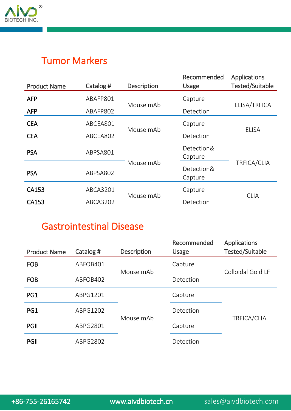

## Tumor Markers

| <b>Product Name</b> | Catalog # | Description | Recommended<br><b>Usage</b> | Applications<br><b>Tested/Suitable</b> |
|---------------------|-----------|-------------|-----------------------------|----------------------------------------|
| <b>AFP</b>          | ABAFP801  |             | Capture                     |                                        |
| <b>AFP</b>          | ABAFP802  | Mouse mAb   | Detection                   | ELISA/TRFICA                           |
| <b>CEA</b>          | ABCEA801  |             | Capture                     |                                        |
| <b>CEA</b>          | ABCEA802  | Mouse mAb   | Detection                   | <b>ELISA</b>                           |
| <b>PSA</b>          | ABPSA801  |             | Detection&<br>Capture       |                                        |
| <b>PSA</b>          | ABPSA802  | Mouse mAb   | Detection&<br>Capture       | TRFICA/CLIA                            |
| CA153               | ABCA3201  |             | Capture                     |                                        |
| CA153               | ABCA3202  | Mouse mAb   | Detection                   | <b>CLIA</b>                            |

## Gastrointestinal Disease

| <b>Product Name</b> | Catalog # | <b>Description</b> | Recommended<br>Usage | Applications<br>Tested/Suitable |  |
|---------------------|-----------|--------------------|----------------------|---------------------------------|--|
| <b>FOB</b>          | ABFOB401  | Mouse mAb          | Capture              | Colloidal Gold LF               |  |
| <b>FOB</b>          | ABFOB402  |                    | Detection            |                                 |  |
| PG1                 | ABPG1201  |                    | Capture              |                                 |  |
| PG1                 | ABPG1202  | Mouse mAb          | Detection            | TRFICA/CLIA                     |  |
| PGII                | ABPG2801  |                    | Capture              |                                 |  |
| <b>PGII</b>         | ABPG2802  |                    | Detection            |                                 |  |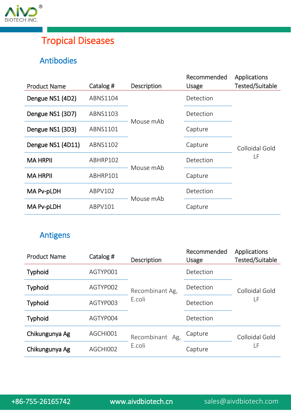

## Tropical Diseases

### Antibodies

| <b>Product Name</b> | Catalog # | Description | Recommended<br><b>Usage</b> | <b>Applications</b><br>Tested/Suitable |
|---------------------|-----------|-------------|-----------------------------|----------------------------------------|
|                     |           |             |                             |                                        |
| Dengue NS1 (4D2)    | ABNS1104  |             | Detection                   |                                        |
| Dengue NS1 (3D7)    | ABNS1103  |             | Detection                   |                                        |
| Dengue NS1 (3D3)    | ABNS1101  | Mouse mAb   | Capture                     |                                        |
| Dengue NS1 (4D11)   | ABNS1102  |             | Capture                     | Colloidal Gold                         |
| <b>MA HRPII</b>     | ABHRP102  | Mouse mAb   | Detection                   | LF                                     |
| <b>MA HRPII</b>     | ABHRP101  |             | Capture                     |                                        |
| MA Pv-pLDH          | ABPV102   | Mouse mAb   | Detection                   |                                        |
| MA Pv-pLDH          | ABPV101   |             | Capture                     |                                        |
|                     |           |             |                             |                                        |

## Antigens

| <b>Product Name</b> | Catalog # | <b>Description</b>        | Recommended<br><b>Usage</b> | Applications<br>Tested/Suitable |
|---------------------|-----------|---------------------------|-----------------------------|---------------------------------|
| <b>Typhoid</b>      | AGTYP001  | Recombinant Ag,<br>E.coli | Detection                   | Colloidal Gold<br>LF            |
| <b>Typhoid</b>      | AGTYP002  |                           | Detection                   |                                 |
| <b>Typhoid</b>      | AGTYP003  |                           | Detection                   |                                 |
| <b>Typhoid</b>      | AGTYP004  |                           | Detection                   |                                 |
| Chikungunya Ag      | AGCHI001  | Recombinant<br>Ag,        | Capture                     | Colloidal Gold                  |
| Chikungunya Ag      | AGCHI002  | E.coli                    | Capture                     | LF                              |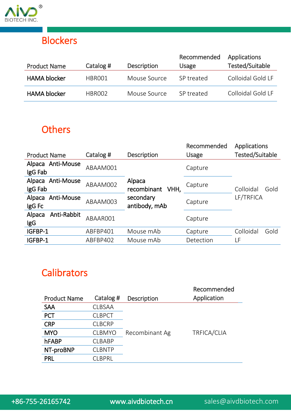

## **Blockers**

| <b>Product Name</b> | Catalog #          | <b>Description</b> | Recommended<br>Usage | Applications<br>Tested/Suitable |
|---------------------|--------------------|--------------------|----------------------|---------------------------------|
| <b>HAMA blocker</b> | HBRO01             | Mouse Source       | SP treated           | Colloidal Gold LF               |
| <b>HAMA blocker</b> | HBROO <sub>2</sub> | Mouse Source       | SP treated           | Colloidal Gold LF               |

## **Others**

|                                     |           |                               | Recommended  | <b>Applications</b>    |
|-------------------------------------|-----------|-------------------------------|--------------|------------------------|
| <b>Product Name</b>                 | Catalog # | Description                   | <b>Usage</b> | <b>Tested/Suitable</b> |
| Alpaca Anti-Mouse<br>IgG Fab        | ABAAM001  |                               | Capture      |                        |
| Alpaca Anti-Mouse<br>IgG Fab        | ABAAM002  | Alpaca<br>recombinant<br>VHH, | Capture      | Colloidal<br>Gold      |
| Anti-Mouse<br>Alpaca<br>IgG Fc      | ABAAM003  | secondary<br>antibody, mAb    | Capture      | LF/TRFICA              |
| Anti-Rabbit<br>Alpaca<br><b>IgG</b> | ABAAR001  |                               | Capture      |                        |
| IGFBP-1                             | ABFBP401  | Mouse mAb                     | Capture      | Colloidal<br>Gold      |
| IGFBP-1                             | ABFBP402  | Mouse mAb                     | Detection    | LF                     |

## **Calibrators**

| Application<br>Catalog #<br><b>Product Name</b><br><b>Description</b> |  |
|-----------------------------------------------------------------------|--|
|                                                                       |  |
| <b>SAA</b><br><b>CLBSAA</b>                                           |  |
| <b>CLBPCT</b><br><b>PCT</b>                                           |  |
| <b>CRP</b><br><b>CLBCRP</b>                                           |  |
| TRFICA/CLIA<br><b>MYO</b><br>Recombinant Ag<br><b>CLBMYO</b>          |  |
| hFABP<br><b>CLBABP</b>                                                |  |
| NT-proBNP<br><b>CLBNTP</b>                                            |  |
| <b>PRL</b><br>CLBPRL                                                  |  |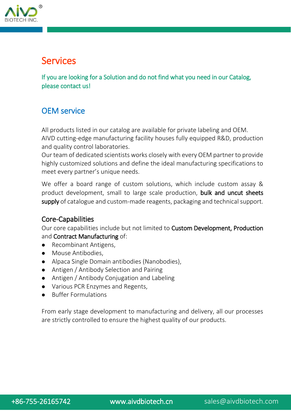

## Services

If you are looking for a Solution and do not find what you need in our Catalog, please contact us!

#### OEM service

All products listed in our catalog are available for private labeling and OEM. AIVD cutting-edge manufacturing facility houses fully equipped R&D, production and quality control laboratories.

Our team of dedicated scientists works closely with every OEM partner to provide highly customized solutions and define the ideal manufacturing specifications to meet every partner's unique needs.

We offer a board range of custom solutions, which include custom assay & product development, small to large scale production, bulk and uncut sheets supply of catalogue and custom-made reagents, packaging and technical support.

#### Core-Capabilities

Our core capabilities include but not limited to Custom Development, Production and Contract Manufacturing of:

- Recombinant Antigens,
- Mouse Antibodies,
- Alpaca Single Domain antibodies (Nanobodies),
- Antigen / Antibody Selection and Pairing
- Antigen / Antibody Conjugation and Labeling
- Various PCR Enzymes and Regents,
- Buffer Formulations

From early stage development to manufacturing and delivery, all our processes are strictly controlled to ensure the highest quality of our products.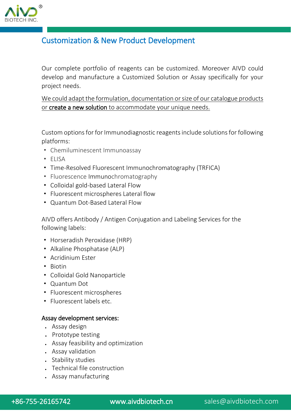

#### Customization & New Product Development

Our complete portfolio of reagents can be customized. Moreover AIVD could develop and manufacture a Customized Solution or Assay specifically for your project needs.

We could adapt the formulation, documentation or size of our catalogue products or create a new solution to accommodate your unique needs.

Custom options for for Immunodiagnostic reagents include solutions for following platforms:

- · Chemiluminescent Immunoassay
- · ELISA
- · Time-Resolved Fluorescent Immunochromatography (TRFICA)
- · Fluorescence Immunochromatography
- · Colloidal gold-based Lateral Flow
- · Fluorescent microspheres Lateral flow
- · Quantum Dot-Based Lateral Flow

AIVD offers Antibody / Antigen Conjugation and Labeling Services for the following labels:

- · Horseradish Peroxidase (HRP)
- · Alkaline Phosphatase (ALP)
- · Acridinium Ester
- · Biotin
- · Colloidal Gold Nanoparticle
- · Quantum Dot
- · Fluorescent microspheres
- · Fluorescent labels etc.

#### Assay development services:

- Assay design
- . Prototype testing
- Assay feasibility and optimization
- Assay validation
- . Stability studies
- Technical file construction
- Assay manufacturing

+86-755-26165742 [www.aivdbiotech.cn](http://www.aivdbiotech.cn/) sales@aivdbiotech.com